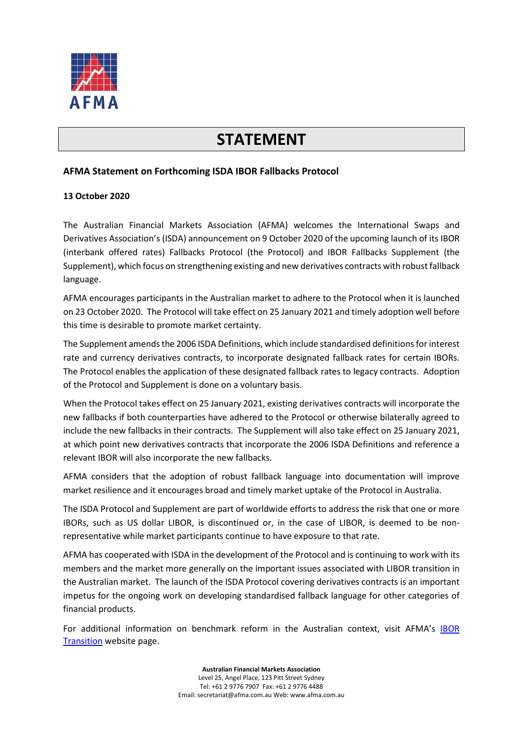

## **STATEMENT**

## **AFMA Statement on Forthcoming ISDA IBOR Fallbacks Protocol**

## **13 October 2020**

The Australian Financial Markets Association (AFMA) welcomes the International Swaps and Derivatives Association's (ISDA) announcement on 9 October 2020 of the upcoming launch of its IBOR (interbank offered rates) Fallbacks Protocol (the Protocol) and IBOR Fallbacks Supplement (the Supplement), which focus on strengthening existing and new derivatives contracts with robust fallback language.

AFMA encourages participants in the Australian market to adhere to the Protocol when it is launched on 23 October 2020. The Protocol will take effect on 25 January 2021 and timely adoption well before this time is desirable to promote market certainty.

The Supplement amends the 2006 ISDA Definitions, which include standardised definitions for interest rate and currency derivatives contracts, to incorporate designated fallback rates for certain IBORs. The Protocol enables the application of these designated fallback rates to legacy contracts. Adoption of the Protocol and Supplement is done on a voluntary basis.

When the Protocol takes effect on 25 January 2021, existing derivatives contracts will incorporate the new fallbacks if both counterparties have adhered to the Protocol or otherwise bilaterally agreed to include the new fallbacks in their contracts. The Supplement will also take effect on 25 January 2021, at which point new derivatives contracts that incorporate the 2006 ISDA Definitions and reference a relevant IBOR will also incorporate the new fallbacks.

AFMA considers that the adoption of robust fallback language into documentation will improve market resilience and it encourages broad and timely market uptake of the Protocol in Australia.

The ISDA Protocol and Supplement are part of worldwide efforts to address the risk that one or more IBORs, such as US dollar LIBOR, is discontinued or, in the case of LIBOR, is deemed to be nonrepresentative while market participants continue to have exposure to that rate.

AFMA has cooperated with ISDA in the development of the Protocol and is continuing to work with its members and the market more generally on the important issues associated with LIBOR transition in the Australian market. The launch of the ISDA Protocol covering derivatives contracts is an important impetus for the ongoing work on developing standardised fallback language for other categories of financial products.

For additional information on benchmark reform in the Australian context, visit AFMA's [IBOR](https://afma.com.au/policy/topics/benchmarks_ibor_transition)  [Transition](https://afma.com.au/policy/topics/benchmarks_ibor_transition) website page.